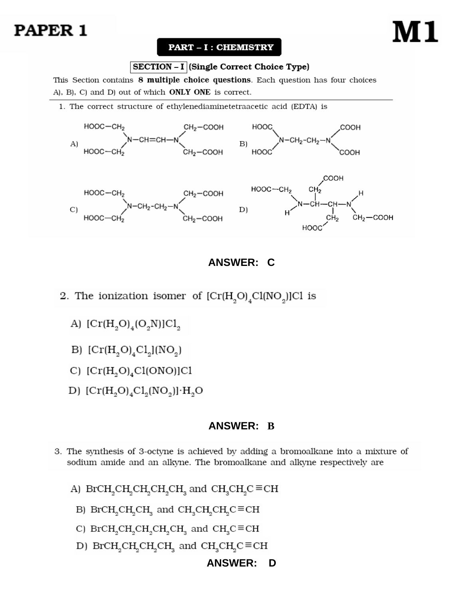# PAPER 1

#### **PART - I : CHEMISTRY**

#### SECTION - I (Single Correct Choice Type)

This Section contains 8 multiple choice questions. Each question has four choices A), B), C) and D) out of which **ONLY ONE** is correct.

1. The correct structure of ethylenediaminetetraacetic acid (EDTA) is



# **ANSWER: C**

- 2. The ionization isomer of  $\text{[Cr(H}_{2}\text{O})_{4}\text{Cl(NO}_{2}\text{)]C1}$  is
	- A)  $[Cr(H<sub>2</sub>O)<sub>4</sub>(O<sub>2</sub>N)]Cl<sub>2</sub>$
	- B)  $[Cr(H<sub>2</sub>O)<sub>4</sub>Cl<sub>2</sub>](NO<sub>2</sub>)$
	- C)  $[Cr(H<sub>2</sub>O)<sub>4</sub>Cl(ONO)]Cl$
	- D)  $[\text{Cr}(H_2O)_4Cl_2(NO_2)] \cdot H_2O$

## **ANSWER: B**

3. The synthesis of 3-octyne is achieved by adding a bromoalkane into a mixture of sodium amide and an alkyne. The bromoalkane and alkyne respectively are

A) 
$$
BrCH_2CH_2CH_2CH_2CH_3
$$
 and  $CH_3CH_2C \equiv CH$ 

- B) BrCH<sub>2</sub>CH<sub>2</sub>CH<sub>3</sub> and CH<sub>2</sub>CH<sub>2</sub>CH<sub>2</sub>C=CH
- C) BrCH<sub>2</sub>CH<sub>2</sub>CH<sub>2</sub>CH<sub>2</sub> cH<sub>3</sub> and CH<sub>3</sub>C=CH
- D) BrCH<sub>2</sub>CH<sub>2</sub>CH<sub>2</sub>CH<sub>3</sub> and CH<sub>2</sub>CH<sub>2</sub>C≡CH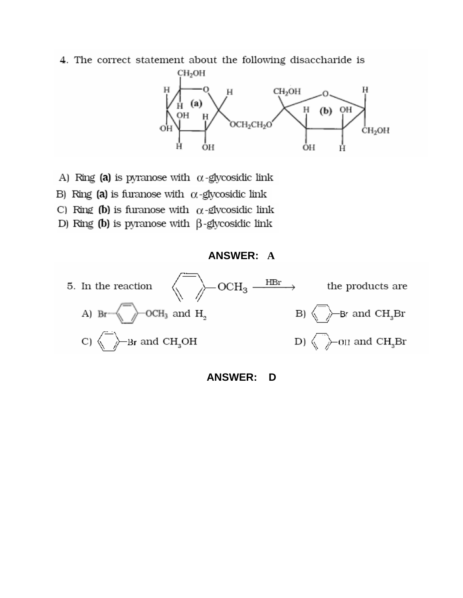4. The correct statement about the following disaccharide is



- A) Ring (a) is pyranose with  $\alpha$ -glycosidic link
- B) Ring (a) is furanose with  $\alpha$ -glycosidic link
- C) Ring (b) is furanose with  $\alpha$ -glycosidic link
- D) Ring (b) is pyranose with  $\beta$ -glycosidic link

#### **ANSWER: A**

![](_page_1_Figure_7.jpeg)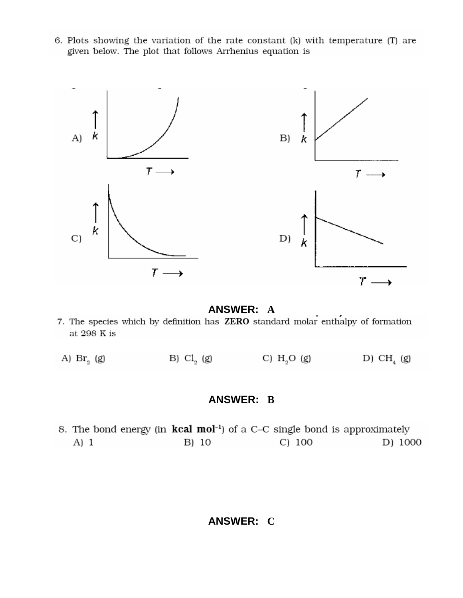6. Plots showing the variation of the rate constant (k) with temperature (T) are given below. The plot that follows Arrhenius equation is

![](_page_2_Figure_1.jpeg)

**ANSWER: A**<br>7. The species which by definition has **ZERO** standard molar enthalpy of formation at 298 K is

|  | A) $\text{Br}_{2}$ (g) | B) $Cl2$ (g) | C) $H_2O$ (g) | D) CH <sub>4</sub> (g) |
|--|------------------------|--------------|---------------|------------------------|
|--|------------------------|--------------|---------------|------------------------|

### **ANSWER: B**

8. The bond energy (in kcal mol<sup>-1</sup>) of a C-C single bond is approximately B) 10 C) 100 D) 1000 A) 1

# **ANSWER: C**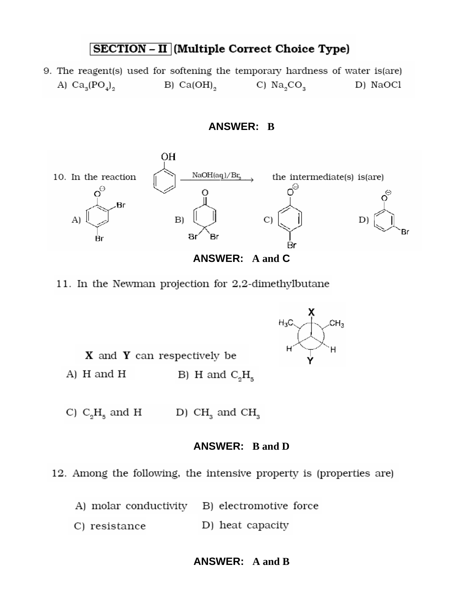# **SECTION - II** (Multiple Correct Choice Type)

9. The reagent(s) used for softening the temporary hardness of water is (are) A)  $Ca_3(PO_4)_2$ B)  $Ca(OH)_{2}$ C)  $\text{Na}_2\text{CO}_3$ D) NaOCl

![](_page_3_Figure_2.jpeg)

![](_page_3_Figure_3.jpeg)

#### 11. In the Newman projection for 2,2-dimethylbutane

![](_page_3_Figure_5.jpeg)

![](_page_3_Figure_6.jpeg)

C)  $C_2H_5$  and H D)  $CH<sub>3</sub>$  and  $CH<sub>3</sub>$ 

#### **ANSWER: B and D**

12. Among the following, the intensive property is (properties are)

- A) molar conductivity B) electromotive force
- C) resistance D) heat capacity

# **ANSWER: A and B**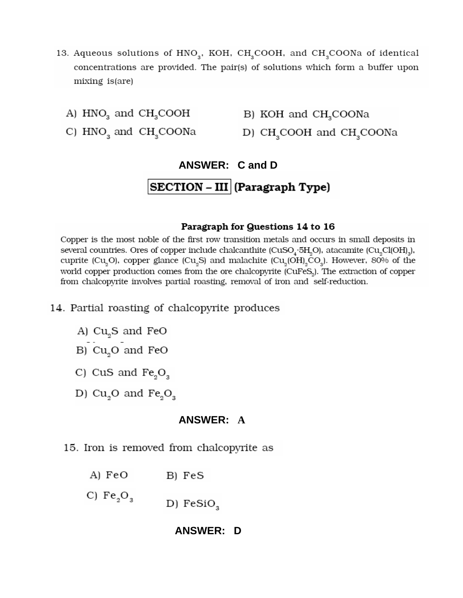- 13. Aqueous solutions of HNO<sub>2</sub>, KOH, CH<sub>2</sub>COOH, and CH<sub>2</sub>COONa of identical concentrations are provided. The pair(s) of solutions which form a buffer upon mixing is (are)
	- A)  $HNO<sub>3</sub>$  and  $CH<sub>3</sub>COOH$
- B) KOH and CH<sub>3</sub>COONa
- C) HNO and CH COONa D) CH<sub>2</sub>COOH and CH<sub>2</sub>COONa

# **ANSWER: C and D** SECTION - III (Paragraph Type)

#### Paragraph for Questions 14 to 16

Copper is the most noble of the first row transition metals and occurs in small deposits in several countries. Ores of copper include chalcanthite (CuSO<sub>4</sub>·5H<sub>2</sub>O), atacamite (Cu<sub>2</sub>Cl(OH)<sub>3</sub>), cuprite (Cu<sub>2</sub>O), copper glance (Cu<sub>2</sub>S) and malachite (Cu<sub>2</sub>(OH)<sub>2</sub>CO<sub>3</sub>). However, 80% of the world copper production comes from the ore chalcopyrite (CuFeS<sub>2</sub>). The extraction of copper from chalcopyrite involves partial roasting, removal of iron and self-reduction.

- 14. Partial roasting of chalcopyrite produces
	- A) Cu<sub>2</sub>S and FeO
	- B) Cu<sub>2</sub>O and FeO
	- C) CuS and  $Fe<sub>2</sub>O<sub>2</sub>$
	- D)  $Cu<sub>2</sub>O$  and  $Fe<sub>2</sub>O<sub>3</sub>$

#### **ANSWER: A**

- 15. Iron is removed from chalcopyrite as
	- A) FeO B) FeS
	- C)  $Fe_2O_2$ D) FeSiO<sub>2</sub>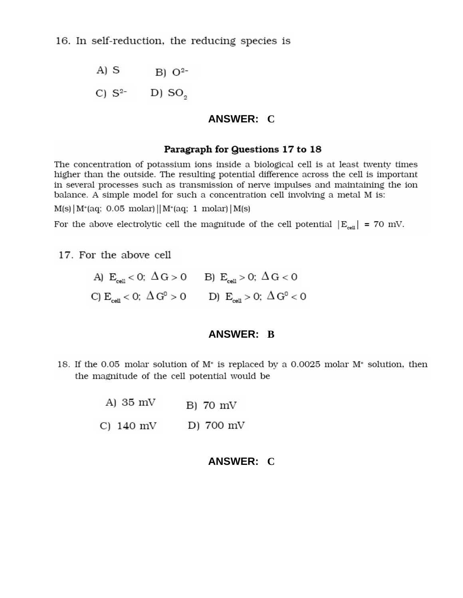A) S  $B) O<sup>2</sup>$ 

C)  $S^{2-}$  D)  $SO_2$ 

#### **ANSWER: C**

#### Paragraph for Questions 17 to 18

The concentration of potassium ions inside a biological cell is at least twenty times higher than the outside. The resulting potential difference across the cell is important in several processes such as transmission of nerve impulses and maintaining the ion balance. A simple model for such a concentration cell involving a metal M is:

 $M(s)$  |  $M^+(aq; 0.05 \text{ molar})$  ||  $M^+(aq; 1 \text{ molar})$  |  $M(s)$ 

For the above electrolytic cell the magnitude of the cell potential  $|E_{cell}| = 70$  mV.

17. For the above cell

| A) $E_{cell} < 0$ ; $\Delta G > 0$ B) $E_{cell} > 0$ ; $\Delta G < 0$ |                                                                                         |
|-----------------------------------------------------------------------|-----------------------------------------------------------------------------------------|
|                                                                       | C) $E_{\text{coll}} < 0$ ; $\Delta G^0 > 0$ D) $E_{\text{coll}} > 0$ ; $\Delta G^0 < 0$ |

#### **ANSWER: B**

- 18. If the 0.05 molar solution of  $M<sup>+</sup>$  is replaced by a 0.0025 molar  $M<sup>+</sup>$  solution, then the magnitude of the cell potential would be
	- A) 35 mV B) 70 mV
	- D) 700 mV C)  $140 \text{ mV}$

### **ANSWER: C**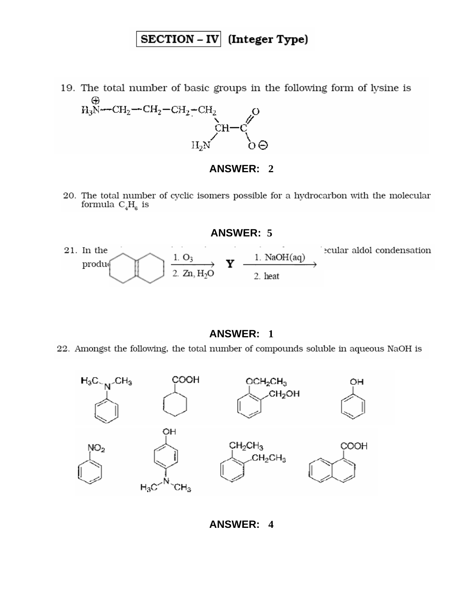# SECTION - IV (Integer Type)

19. The total number of basic groups in the following form of lysine is  $H_3N$  --CH<sub>2</sub> -- CH<sub>2</sub> -- CH<sub>2</sub> -- CH<sub>2</sub>

![](_page_6_Figure_2.jpeg)

# **ANSWER: 2**

20. The total number of cyclic isomers possible for a hydrocarbon with the molecular formula  $C_4H_6$  is

21. In the ecular aldol condensation  $\mathbf{Y}$   $\frac{1. \text{ NaOH(aq)}}{2. \text{ heat}}$  $\frac{1. O_3}{2. Zn, H_2O}$ produ

**ANSWER: 5**

#### **ANSWER: 1**

22. Amongst the following, the total number of compounds soluble in aqueous NaOH is

![](_page_6_Figure_8.jpeg)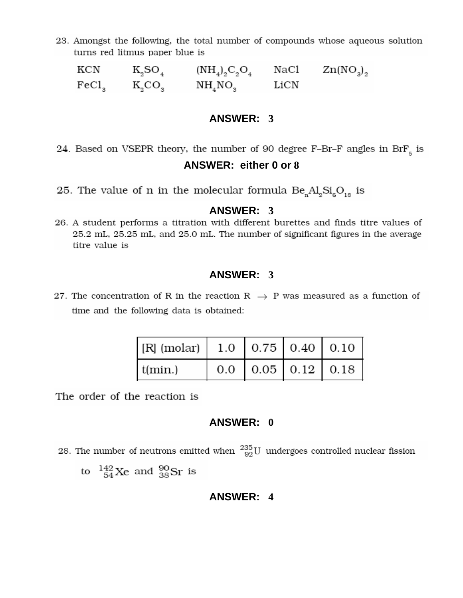23. Amongst the following, the total number of compounds whose aqueous solution turns red litmus paper blue is

 $\begin{array}{lllllll} \text{KCN} & \text{K}_{2}\text{SO}_4 & (\text{NH}_4)_{2}\text{C}_{2}\text{O}_4 & \text{NaCl} & \text{Zn(\text{NO}_3)_{2}} \\ \text{FeCl}_3 & \text{K}_{2}\text{CO}_3 & \text{NH}_4\text{NO}_3 & \text{LiCN} & \end{array}$ 

#### **ANSWER: 3**

- 24. Based on VSEPR theory, the number of 90 degree F–Br–F angles in  $\mathrm{BrF}_{_5}$  is **ANSWER: either 0 or 8**
- 25. The value of n in the molecular formula  $Be<sub>n</sub>Al<sub>2</sub>Si<sub>6</sub>O<sub>18</sub>$  is

#### **ANSWER: 3**

26. A student performs a titration with different burettes and finds titre values of 25.2 mL, 25.25 mL, and 25.0 mL. The number of significant figures in the average titre value is

#### **ANSWER: 3**

27. The concentration of R in the reaction R  $\rightarrow$  P was measured as a function of time and the following data is obtained:

| $\vert$ [R] (molar)   1.0   0.75   0.40   0.10 |  |                      |
|------------------------------------------------|--|----------------------|
| $t(\min.)$                                     |  | $0.0$ 0.05 0.12 0.18 |

The order of the reaction is

#### **ANSWER: 0**

28. The number of neutrons emitted when  $^{235}_{92}$ U undergoes controlled nuclear fission

to  $^{142}_{54}$ Xe and  $^{90}_{38}$ Sr is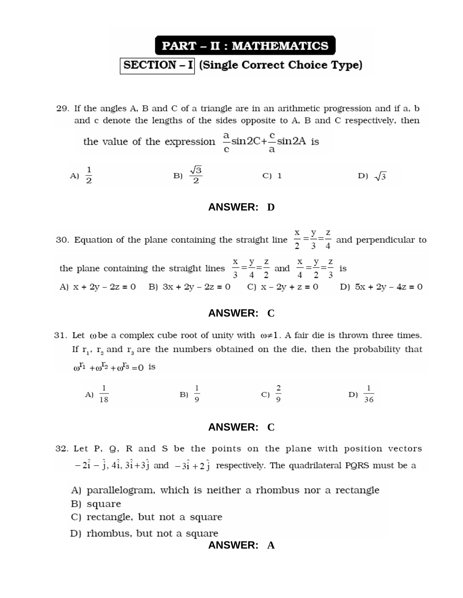# **PART - II : MATHEMATICS** SECTION - I (Single Correct Choice Type)

29. If the angles A, B and C of a triangle are in an arithmetic progression and if a, b and c denote the lengths of the sides opposite to A, B and C respectively, then

the value of the expression 
$$
\frac{a}{c} \sin 2C + \frac{c}{a} \sin 2A
$$
 is  
\nA)  $\frac{1}{2}$  \nB)  $\frac{\sqrt{3}}{2}$  \nC) 1 \nD)  $\sqrt{3}$ 

#### **ANSWER: D**

30. Equation of the plane containing the straight line  $\frac{x}{2} = \frac{y}{3} = \frac{z}{4}$  and perpendicular to the plane containing the straight lines  $\frac{x}{3} = \frac{y}{4} = \frac{z}{2}$  and  $\frac{x}{4} = \frac{y}{2} = \frac{z}{3}$  is A)  $x + 2y - 2z = 0$  B)  $3x + 2y - 2z = 0$  C)  $x - 2y + z = 0$  D)  $5x + 2y - 4z = 0$ 

#### **ANSWER: C**

31. Let  $\omega$  be a complex cube root of unity with  $\omega \neq 1$ . A fair die is thrown three times. If  $r_1$ ,  $r_2$  and  $r_3$  are the numbers obtained on the die, then the probability that  $\omega^{T_1} + \omega^{T_2} + \omega^{T_3} = 0$  is

B)  $\frac{1}{9}$  C)  $\frac{2}{9}$ A)  $\frac{1}{18}$ D)  $\frac{1}{36}$ 

#### **ANSWER: C**

- 32. Let P, Q, R and S be the points on the plane with position vectors  $-2\hat{i} - \hat{j}$ ,  $4\hat{i}$ ,  $3\hat{i} + 3\hat{j}$  and  $-3\hat{i} + 2\hat{j}$  respectively. The quadrilateral PQRS must be a
	- A) parallelogram, which is neither a rhombus nor a rectangle
	- B) square
	- C) rectangle, but not a square
	- D) rhombus, but not a square

#### **ANSWER: A**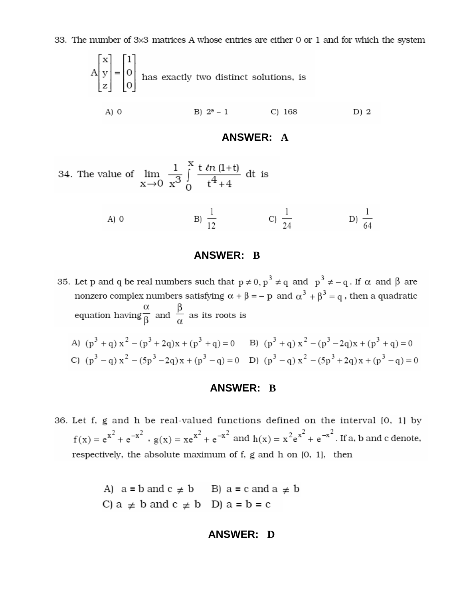33. The number of 3x3 matrices A whose entries are either 0 or 1 and for which the system

$$
A\begin{bmatrix} x \\ y \\ z \end{bmatrix} = \begin{bmatrix} 1 \\ 0 \\ 0 \end{bmatrix}
$$
 has exactly two distinct solutions, is

 $A)$  O B)  $2^9 - 1$  $C) 168$ D) 2

## **ANSWER: A**

34. The value of 
$$
\lim_{x \to 0} \frac{1}{x^3} \int_{0}^{x} \frac{t \ln(1+t)}{t^4 + 4} dt
$$
 is

A) 0 \t\t B) 
$$
\frac{1}{12}
$$
 \t\t C)  $\frac{1}{24}$  \t\t D)  $\frac{1}{64}$ 

## **ANSWER: B**

35. Let p and q be real numbers such that  $p \neq 0$ ,  $p^3 \neq q$  and  $p^3 \neq -q$ . If  $\alpha$  and  $\beta$  are nonzero complex numbers satisfying  $\alpha + \beta = -p$  and  $\alpha^3 + \beta^3 = q$ , then a quadratic equation having  $\frac{\alpha}{\beta}$  and  $\frac{\beta}{\alpha}$  as its roots is

A) 
$$
(p^3 + q) x^2 - (p^3 + 2q) x + (p^3 + q) = 0
$$
 B)  $(p^3 + q) x^2 - (p^3 - 2q) x + (p^3 + q) = 0$   
\nC)  $(p^3 - q) x^2 - (5p^3 - 2q) x + (p^3 - q) = 0$  D)  $(p^3 - q) x^2 - (5p^3 + 2q) x + (p^3 - q) = 0$ 

### **ANSWER: B**

36. Let f, g and h be real-valued functions defined on the interval [0, 1] by  $f(x) = e^{x^2} + e^{-x^2}$ ,  $g(x) = xe^{x^2} + e^{-x^2}$  and  $h(x) = x^2e^{x^2} + e^{-x^2}$ . If a, b and c denote, respectively, the absolute maximum of f, g and h on [0, 1], then

A) 
$$
a = b
$$
 and  $c \ne b$  B)  $a = c$  and  $a \ne b$   
C)  $a \ne b$  and  $c \ne b$  D)  $a = b = c$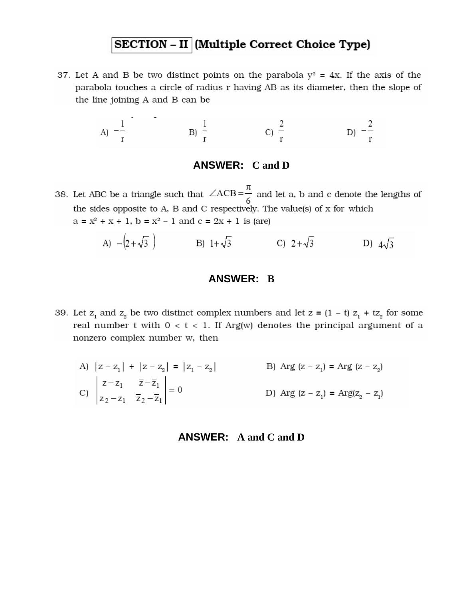# SECTION - II (Multiple Correct Choice Type)

37. Let A and B be two distinct points on the parabola  $y^2 = 4x$ . If the axis of the parabola touches a circle of radius r having AB as its diameter, then the slope of the line joining A and B can be

A) 
$$
-\frac{1}{r}
$$
 \t\t B)  $\frac{1}{r}$  \t\t C)  $\frac{2}{r}$  \t\t D)  $-\frac{2}{r}$ 

#### **ANSWER: C and D**

38. Let ABC be a triangle such that  $\angle ACB = \frac{\pi}{6}$  and let a, b and c denote the lengths of the sides opposite to A, B and C respectively. The value(s) of x for which  $a = x^2 + x + 1$ ,  $b = x^2 - 1$  and  $c = 2x + 1$  is (are)

A) 
$$
-(2+\sqrt{3})
$$
 B)  $1+\sqrt{3}$  C)  $2+\sqrt{3}$  D)  $4\sqrt{3}$ 

#### **ANSWER: B**

39. Let  $z_1$  and  $z_2$  be two distinct complex numbers and let  $z = (1 - t) z_1 + tz_2$  for some real number t with  $0 < t < 1$ . If Arg(w) denotes the principal argument of a nonzero complex number w, then

A) 
$$
|z - z_1| + |z - z_2| = |z_1 - z_2|
$$
  
\nB) Arg  $(z - z_1) = \text{Arg } (z - z_2)$   
\nC)  $\begin{vmatrix} z - z_1 & \overline{z} - \overline{z}_1 \\ z_2 - z_1 & \overline{z}_2 - \overline{z}_1 \end{vmatrix} = 0$   
\nD) Arg  $(z - z_1) = \text{Arg}(z_2 - z_1)$ 

### **ANSWER: A and C and D**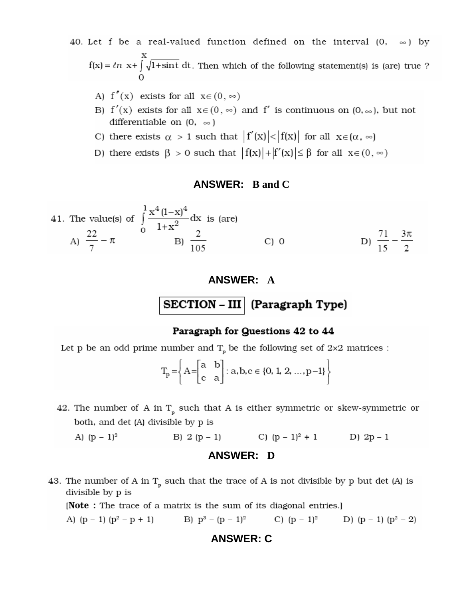40. Let f be a real-valued function defined on the interval  $(0, \infty)$  by  $\mathbf{f}(\mathbf{x}) = \ell n$ x+<br>] $\sqrt{1+\sin t}$ dt. Then which of the following statement(s) is (are) true ?

- A)  $f''(x)$  exists for all  $x \in (0, \infty)$
- B)  $f'(x)$  exists for all  $x \in (0, \infty)$  and f' is continuous on  $(0, \infty)$ , but not differentiable on  $(0, \infty)$
- C) there exists  $\alpha > 1$  such that  $|f'(x)| < |f(x)|$  for all  $x \in (\alpha, \infty)$
- D) there exists  $\beta > 0$  such that  $|f(x)| + |f'(x)| \leq \beta$  for all  $x \in (0, \infty)$

#### **ANSWER: B and C**

41. The value(s) of 
$$
\int_{0}^{1} \frac{x^4(1-x)^4}{1+x^2} dx
$$
 is (are)  
\nA)  $\frac{22}{7} - \pi$  \nB)  $\frac{2}{105}$  \nC) 0 \nD)  $\frac{71}{15} - \frac{3\pi}{2}$ 

#### **ANSWER: A**

 $SECTION - III$  (Paragraph Type)

#### Paragraph for Questions 42 to 44

Let p be an odd prime number and  $T_p$  be the following set of 2×2 matrices :

$$
T_p = \left\{ A = \begin{bmatrix} a & b \\ c & a \end{bmatrix} : a, b, c \in \{0, 1, 2, ..., p-1\} \right\}
$$

42. The number of A in  $\texttt{T}_{_{\texttt{p}}}$  such that A is either symmetric or skew-symmetric or both, and det (A) divisible by p is

A) 
$$
(p-1)^2
$$
 \t B) 2  $(p-1)$  \t C)  $(p-1)^2 + 1$  \t D)  $2p-1$ 

#### **ANSWER: D**

43. The number of A in  $T_p$  such that the trace of A is not divisible by p but det (A) is divisible by p is

[Note: The trace of a matrix is the sum of its diagonal entries.]

A)  $(p-1)(p^2 - p + 1)$  B)  $p^3 - (p-1)^2$  C)  $(p-1)^2$  D)  $(p-1)(p^2 - 2)$ 

#### **ANSWER: C**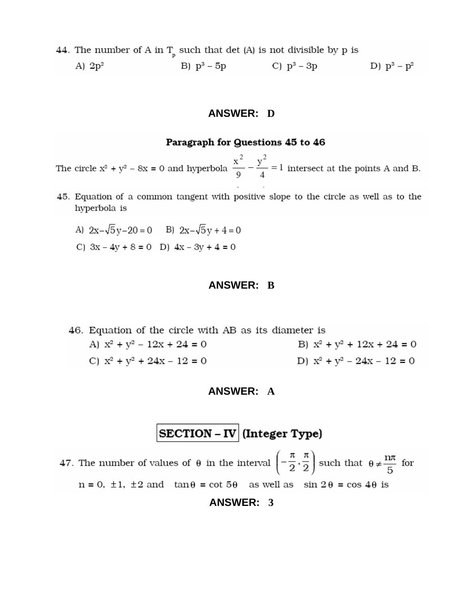44. The number of A in  $T_{p}$  such that det (A) is not divisible by p is B)  $p^3 - 5p$  C)  $p^3 - 3p$  D)  $p^3 - p^2$ A)  $2p^2$ 

#### **ANSWER: D**

#### Paragraph for Questions 45 to 46

The circle  $x^2 + y^2 - 8x = 0$  and hyperbola  $\frac{x^2}{9} - \frac{y^2}{4} = 1$  intersect at the points A and B.

- 45. Equation of a common tangent with positive slope to the circle as well as to the hyperbola is
	- A)  $2x-\sqrt{5}y-20=0$  B)  $2x-\sqrt{5}y+4=0$
	- C)  $3x 4y + 8 = 0$  D)  $4x 3y + 4 = 0$

#### **ANSWER: B**

46. Equation of the circle with AB as its diameter is A)  $x^2 + y^2 - 12x + 24 = 0$ B)  $x^2 + y^2 + 12x + 24 = 0$ C)  $x^2 + y^2 + 24x - 12 = 0$ D)  $x^2 + y^2 - 24x - 12 = 0$ 

#### **ANSWER: A**

# **SECTION** – IV (Integer Type)

47. The number of values of  $\theta$  in the interval  $\left(-\frac{\pi}{2}, \frac{\pi}{2}\right)$  such that  $\theta \neq \frac{n\pi}{5}$  for  $n = 0, \pm 1, \pm 2$  and  $\tan \theta = \cot 5\theta$  as well as  $\sin 2\theta = \cos 4\theta$  is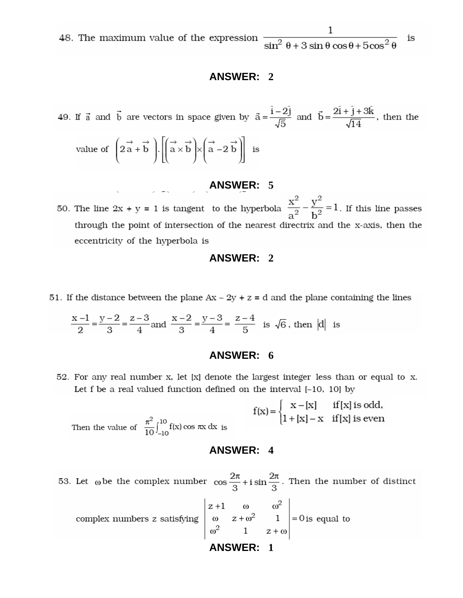48. The maximum value of the expression  $\frac{1}{\sin^2 \theta + 3 \sin \theta \cos \theta + 5 \cos^2 \theta}$ 

#### **ANSWER: 2**

49. If  $\vec{a}$  and  $\vec{b}$  are vectors in space given by  $\vec{a} = \frac{\hat{i} - 2\hat{j}}{\sqrt{5}}$  and  $\vec{b} = \frac{2\hat{i} + \hat{j} + 3\hat{k}}{\sqrt{14}}$ , then the  $( \rightarrow \rightarrow )$   $[ (\rightarrow \rightarrow )$   $( \rightarrow \rightarrow )$ 

value of 
$$
\left(2\vec{a} + \vec{b}\right) \cdot \left[\left(\vec{a} \times \vec{b}\right) \times \left(\vec{a} - 2\vec{b}\right)\right]
$$
 is

# **ANSWER: 5**

50. The line 2x + y = 1 is tangent to the hyperbola  $\frac{x^2}{a^2} - \frac{y^2}{b^2} = 1$ . If this line passes through the point of intersection of the nearest directrix and the x-axis, then the eccentricity of the hyperbola is

#### **ANSWER: 2**

51. If the distance between the plane  $Ax - 2y + z = d$  and the plane containing the lines

$$
\frac{x-1}{2} = \frac{y-2}{3} = \frac{z-3}{4}
$$
 and 
$$
\frac{x-2}{3} = \frac{y-3}{4} = \frac{z-4}{5}
$$
 is  $\sqrt{6}$ , then  $|d|$  is

#### **ANSWER: 6**

52. For any real number x, let [x] denote the largest integer less than or equal to x. Let  $f$  be a real valued function defined on the interval  $[-10, 10]$  by

 $f(x)\!=\!\begin{cases} \begin{array}{ll} x-[x] & \text{if}\,[x]\; \text{is odd}, \\ 1+[x]-x & \text{if}\,[x]\; \text{is even} \end{array} \end{cases}$ Then the value of  $\frac{\pi^2}{10} \int_{-10}^{10} f(x) \cos \pi x \, dx$  is

#### **ANSWER: 4**

53. Let  $\omega$  be the complex number  $\cos \frac{2\pi}{3} + i \sin \frac{2\pi}{3}$ . Then the number of distinct complex numbers z satisfying  $\begin{vmatrix} z+1 & \omega & \omega^2 \\ \omega & z+\omega^2 & 1 \\ \omega^2 & 1 & z+\omega \end{vmatrix} = 0$  is equal to

**ANSWER: 1**

is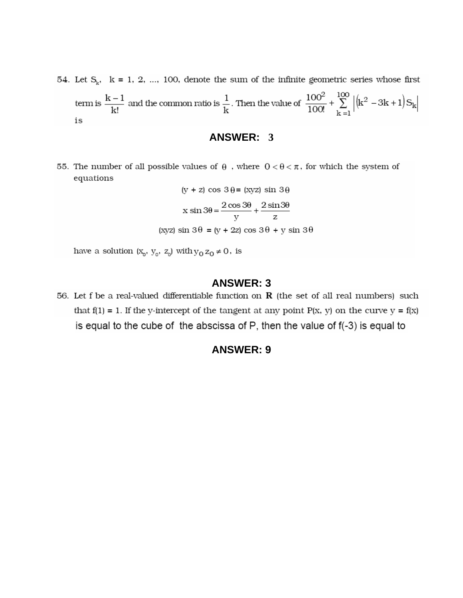54. Let  $S_k$ ,  $k = 1, 2, ..., 100$ , denote the sum of the infinite geometric series whose first term is  $\frac{k-1}{k!}$  and the common ratio is  $\frac{1}{k}$ . Then the value of  $\frac{100^2}{100!} + \sum_{k=1}^{100} |(k^2 - 3k + 1)S_k|$ is

#### **ANSWER: 3**

55. The number of all possible values of  $\theta$ , where  $0 < \theta < \pi$ , for which the system of equations

$$
(y + z) \cos 3\theta = (xyz) \sin 3\theta
$$

$$
x \sin 3\theta = \frac{2 \cos 3\theta}{y} + \frac{2 \sin 3\theta}{z}
$$

$$
(xyz) \sin 3\theta = (y + 2z) \cos 3\theta + y \sin 3\theta
$$

have a solution  $(x_{_{\!0}},\,y_{_{\!0}},\,z_{_{\!0}})$  with  $y_0\,z_0\neq 0\,,$  is

### **ANSWER: 3**

56. Let f be a real-valued differentiable function on  $R$  (the set of all real numbers) such that  $f(1) = 1$ . If the y-intercept of the tangent at any point  $P(x, y)$  on the curve  $y = f(x)$ is equal to the cube of the abscissa of  $P$ , then the value of  $f(-3)$  is equal to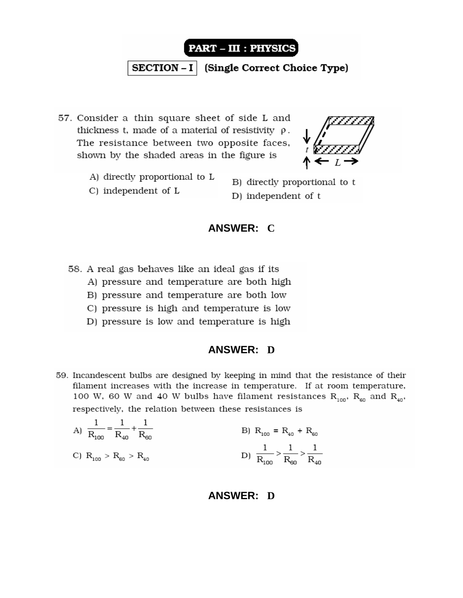![](_page_15_Picture_0.jpeg)

 **(Single Correct Choice Type)** 

57. Consider a thin square sheet of side L and thickness t, made of a material of resistivity  $\rho$ . The resistance between two opposite faces, shown by the shaded areas in the figure is

![](_page_15_Picture_3.jpeg)

A) directly proportional to L

C) independent of L

B) directly proportional to t D) independent of t

### **ANSWER: C**

58. A real gas behaves like an ideal gas if its

- A) pressure and temperature are both high
- B) pressure and temperature are both low
- C) pressure is high and temperature is low
- D) pressure is low and temperature is high

### **ANSWER: D**

59. Incandescent bulbs are designed by keeping in mind that the resistance of their filament increases with the increase in temperature. If at room temperature, 100 W, 60 W and 40 W bulbs have filament resistances  $R_{100}$ ,  $R_{60}$  and  $R_{40}$ , respectively, the relation between these resistances is

A) 
$$
\frac{1}{R_{100}} = \frac{1}{R_{40}} + \frac{1}{R_{60}}
$$
  
\nB)  $R_{100} = R_{40} + R_{60}$   
\nC)  $R_{100} > R_{60} > R_{40}$   
\nD)  $\frac{1}{R_{100}} > \frac{1}{R_{60}} > \frac{1}{R_{40}}$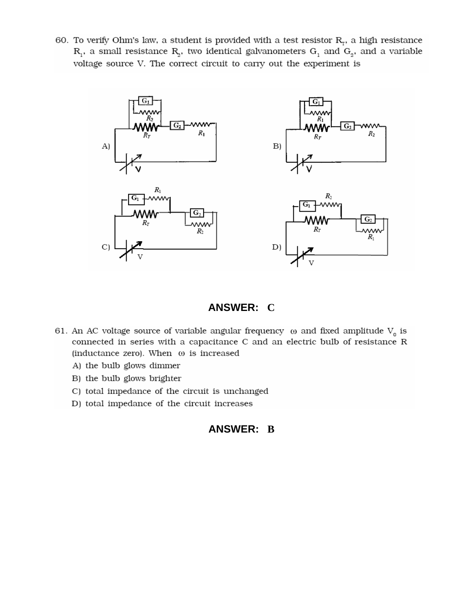60. To verify Ohm's law, a student is provided with a test resistor  $R_r$ , a high resistance  $R_1$ , a small resistance  $R_2$ , two identical galvanometers  $G_1$  and  $G_2$ , and a variable voltage source V. The correct circuit to carry out the experiment is

![](_page_16_Figure_1.jpeg)

### **ANSWER: C**

- 61. An AC voltage source of variable angular frequency  $\,\omega$  and fixed amplitude  $\mathrm{V_{0}}$  is connected in series with a capacitance C and an electric bulb of resistance R (inductance zero). When  $\omega$  is increased
	- A) the bulb glows dimmer
	- B) the bulb glows brighter
	- C) total impedance of the circuit is unchanged
	- D) total impedance of the circuit increases

# **ANSWER: B**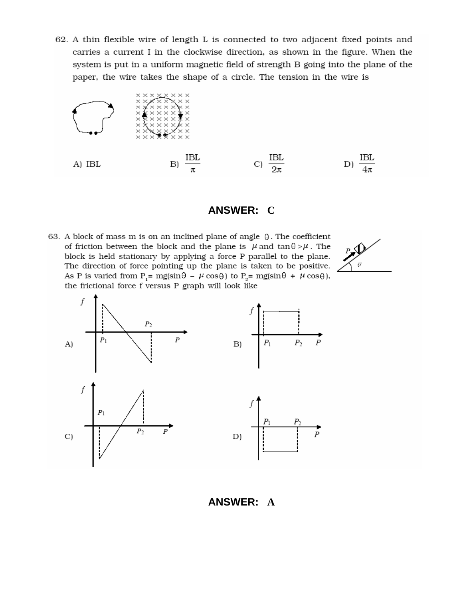62. A thin flexible wire of length L is connected to two adjacent fixed points and carries a current I in the clockwise direction, as shown in the figure. When the system is put in a uniform magnetic field of strength B going into the plane of the paper, the wire takes the shape of a circle. The tension in the wire is

![](_page_17_Figure_1.jpeg)

#### **ANSWER: C**

63. A block of mass m is on an inclined plane of angle  $\theta$ . The coefficient of friction between the block and the plane is  $\mu$  and  $\tan \theta > \mu$ . The block is held stationary by applying a force P parallel to the plane. The direction of force pointing up the plane is taken to be positive. As P is varied from P<sub>1</sub>= mg(sin $\theta$  –  $\mu$  cos $\theta$ ) to P<sub>2</sub>= mg(sin $\theta$  +  $\mu$  cos $\theta$ ), the frictional force f versus P graph will look like

![](_page_17_Figure_4.jpeg)

![](_page_17_Figure_5.jpeg)

#### **ANSWER: A**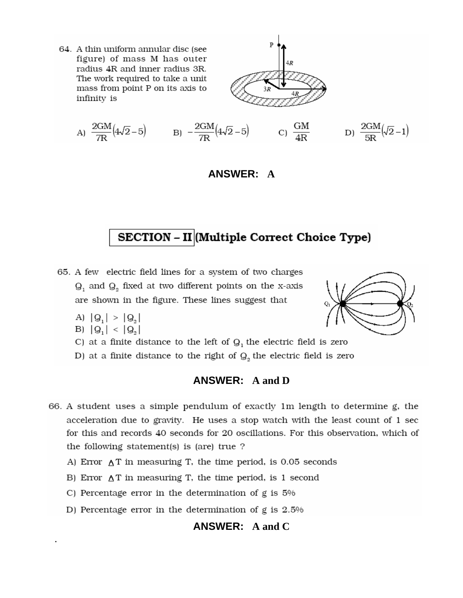64. A thin uniform annular disc (see figure) of mass M has outer radius 4R and inner radius 3R. The work required to take a unit mass from point P on its axis to infinity is

![](_page_18_Figure_1.jpeg)

A) 
$$
\frac{2GM}{7R}(4\sqrt{2}-5)
$$
 B)  $-\frac{2GM}{7R}(4\sqrt{2}-5)$  C)  $\frac{GM}{4R}$  D)  $\frac{2GM}{5R}(\sqrt{2}-1)$ 

#### **ANSWER: A**

# SECTION - II (Multiple Correct Choice Type)

- 65. A few electric field lines for a system of two charges  $Q_1$  and  $Q_2$  fixed at two different points on the x-axis are shown in the figure. These lines suggest that
	- A)  $|Q_1| > |Q_2|$

B) 
$$
|Q_1| < |Q_2|
$$

- C) at a finite distance to the left of  $Q_1$  the electric field is zero
- D) at a finite distance to the right of  $Q_2$  the electric field is zero

#### **ANSWER: A and D**

- 66. A student uses a simple pendulum of exactly 1m length to determine g, the acceleration due to gravity. He uses a stop watch with the least count of 1 sec for this and records 40 seconds for 20 oscillations. For this observation, which of the following statement(s) is (are) true?
	- A) Error  $\Delta T$  in measuring T, the time period, is 0.05 seconds
	- B) Error  $\Delta T$  in measuring T, the time period, is 1 second
	- C) Percentage error in the determination of  $g$  is  $5\%$
	- D) Percentage error in the determination of  $g$  is 2.5%

### **ANSWER: A and C**

![](_page_18_Picture_17.jpeg)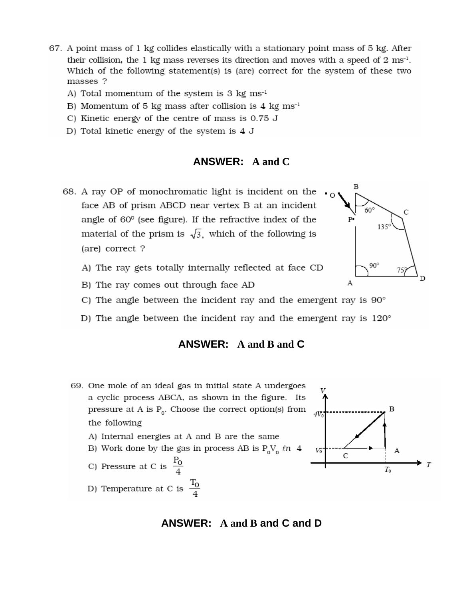- 67. A point mass of 1 kg collides elastically with a stationary point mass of 5 kg. After their collision, the 1 kg mass reverses its direction and moves with a speed of 2  $ms<sup>-1</sup>$ . Which of the following statement(s) is (are) correct for the system of these two masses ?
	- A) Total momentum of the system is 3  $kg \text{ ms}^{-1}$
	- B) Momentum of 5 kg mass after collision is 4 kg  $ms^{-1}$
	- C) Kinetic energy of the centre of mass is 0.75 J
	- D) Total kinetic energy of the system is 4 J

#### **ANSWER: A and C**

- 68. A ray OP of monochromatic light is incident on the face AB of prism ABCD near vertex B at an incident angle of  $60^\circ$  (see figure). If the refractive index of the material of the prism is  $\sqrt{3}$ , which of the following is (are) correct?
	- A) The ray gets totally internally reflected at face CD
	- B) The ray comes out through face AD
	- C) The angle between the incident ray and the emergent ray is  $90^{\circ}$
	- D) The angle between the incident ray and the emergent ray is  $120^\circ$

#### **ANSWER:** A and B and C

- 69. One mole of an ideal gas in initial state A undergoes a cyclic process ABCA, as shown in the figure. Its pressure at A is  $P_0$ . Choose the correct option(s) from the following A) Internal energies at A and B are the same B) Work done by the gas in process AB is  $P_0V_a \ln 4$ 
	- C) Pressure at C is  $\frac{P_0}{4}$ D) Temperature at C is  $\frac{T_0}{4}$

### ANSWER:  $A$  and  $B$  and  $C$  and  $D$

![](_page_19_Figure_15.jpeg)

![](_page_19_Figure_16.jpeg)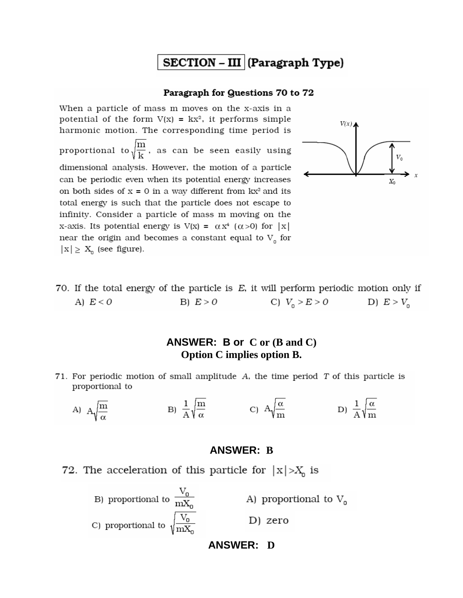# $SECTION - III | (Paragraph Type)$

#### Paragraph for Questions 70 to 72

When a particle of mass m moves on the x-axis in a potential of the form  $V(x) = kx^2$ , it performs simple harmonic motion. The corresponding time period is proportional to  $\sqrt{\frac{\text{m}}{\text{k}}}$ , as can be seen easily using dimensional analysis. However, the motion of a particle can be periodic even when its potential energy increases on both sides of  $x = 0$  in a way different from  $kx^2$  and its total energy is such that the particle does not escape to infinity. Consider a particle of mass m moving on the x-axis. Its potential energy is  $V(x) = \alpha x^4$  ( $\alpha > 0$ ) for |x| near the origin and becomes a constant equal to  $V_{0}^{\text{}}$  for  $|x| \ge X_0$  (see figure).

![](_page_20_Figure_3.jpeg)

70. If the total energy of the particle is  $E$ , it will perform periodic motion only if C)  $V_0 > E > 0$  D)  $E > V_0$ B)  $E > 0$ A)  $E < 0$ 

### **ANSWER: B or C or (B and C) Option C implies option B.**

71. For periodic motion of small amplitude  $A$ , the time period  $T$  of this particle is proportional to

A) 
$$
A\sqrt{\frac{m}{\alpha}}
$$
 \t B)  $\frac{1}{A}\sqrt{\frac{m}{\alpha}}$  \t C)  $A\sqrt{\frac{\alpha}{m}}$  \t D)  $\frac{1}{A}\sqrt{\frac{\alpha}{m}}$ 

#### **ANSWER: B**

![](_page_20_Figure_9.jpeg)

![](_page_20_Figure_10.jpeg)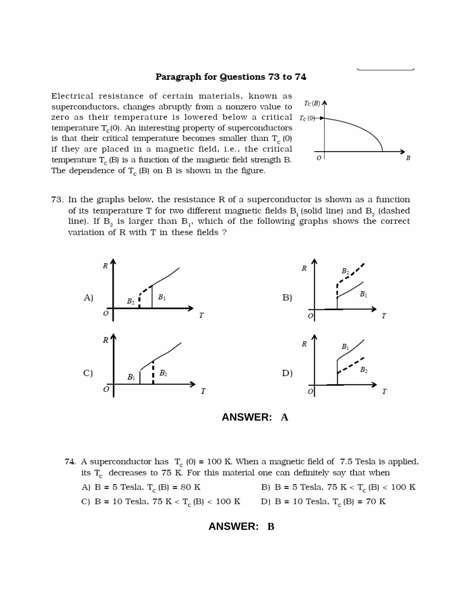#### Paragraph for Questions 73 to 74

Electrical resistance of certain materials, known as superconductors, changes abruptly from a nonzero value to zero as their temperature is lowered below a critical  $T_c(0)$ temperature  $T_c(0)$ . An interesting property of superconductors is that their critical temperature becomes smaller than  $T_c(0)$ if they are placed in a magnetic field, i.e., the critical temperature  $\mathrm{T_{c}}$  (B) is a function of the magnetic field strength B. The dependence of  $T_c$  (B) on B is shown in the figure.

![](_page_21_Figure_2.jpeg)

73. In the graphs below, the resistance R of a superconductor is shown as a function of its temperature T for two different magnetic fields  $B<sub>1</sub>$  (solid line) and  $B<sub>2</sub>$  (dashed line). If  $B_2$  is larger than  $B_1$ , which of the following graphs shows the correct variation of R with T in these fields?

![](_page_21_Figure_4.jpeg)

![](_page_21_Figure_5.jpeg)

74. A superconductor has  $T_c$  (0) = 100 K. When a magnetic field of 7.5 Tesla is applied, its  $T_c$  decreases to 75 K. For this material one can definitely say that when B) B = 5 Tesla, 75 K <  $\rm T_c$  (B) < 100 K A) B = 5 Tesla,  $T_c$  (B) = 80 K C) B = 10 Tesla, 75 K < T<sub>c</sub>(B) < 100 K D) B = 10 Tesla, T<sub>c</sub>(B) = 70 K

#### **ANSWER: B**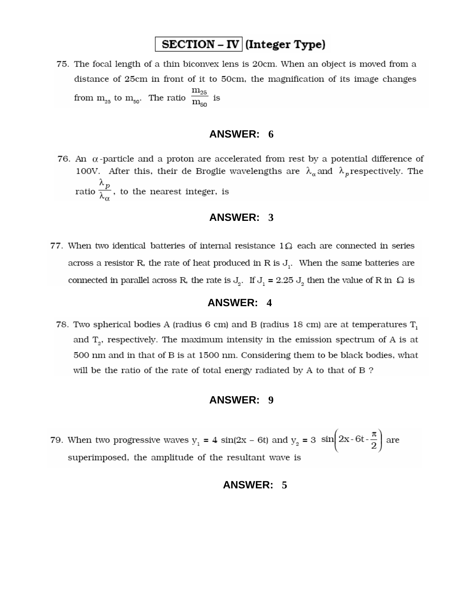# SECTION - IV (Integer Type)

75. The focal length of a thin biconvex lens is 20cm. When an object is moved from a distance of 25cm in front of it to 50cm, the magnification of its image changes from  $m_{25}$  to  $m_{50}$ . The ratio  $\frac{m_{25}}{m_{50}}$  is

# **ANSWER: 6**

76. An  $\alpha$ -particle and a proton are accelerated from rest by a potential difference of 100V. After this, their de Broglie wavelengths are  $\lambda_{\alpha}$  and  $\lambda_{p}$  respectively. The ratio  $\frac{\lambda_p}{\lambda_q}$ , to the nearest integer, is

### **ANSWER: 3**

77. When two identical batteries of internal resistance  $1\Omega$  each are connected in series across a resistor R, the rate of heat produced in R is  $J_i$ . When the same batteries are connected in parallel across R, the rate is  $J_2$ . If  $J_1 = 2.25 J_2$  then the value of R in  $\Omega$  is

#### **ANSWER: 4**

78. Two spherical bodies A (radius 6 cm) and B (radius 18 cm) are at temperatures  $T_1$ and  $T_a$ , respectively. The maximum intensity in the emission spectrum of A is at 500 nm and in that of B is at 1500 nm. Considering them to be black bodies, what will be the ratio of the rate of total energy radiated by A to that of B?

#### **ANSWER: 9**

79. When two progressive waves  $y_1 = 4 \sin(2x - 6t)$  and  $y_2 = 3 \sin\left(2x - 6t - \frac{\pi}{2}\right)$  are superimposed, the amplitude of the resultant wave is